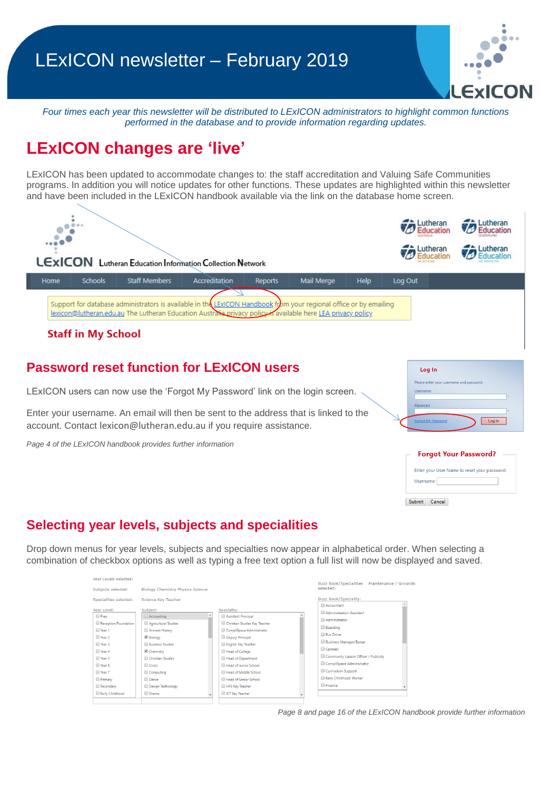

*Four times each year this newsletter will be distributed to LExICON administrators to highlight common functions performed in the database and to provide information regarding updates.* 

# **LExICON changes are 'live'**

LExICON has been updated to accommodate changes to: the staff accreditation and Valuing Safe Communities programs. In addition you will notice updates for other functions. These updates are highlighted within this newsletter and have been included in the LExICON handbook available via the link on the database home screen.



#### **Password reset function for LExICON users**

LExICON users can now use the 'Forgot My Password' link on the login screen.

Enter your username. An email will then be sent to the address that is linked to the account. Contact [lexicon@lutheran.edu.au](mailto:lexicon@lutheran.edu.au) if you require assistance.

*Page 4 of the LExICON handbook provides further information*



| <b>Forgot Your Password?</b>                              |
|-----------------------------------------------------------|
| Enter your User Name to reset your password.<br>Username: |
| Submit<br>Cancel                                          |

# **Selecting year levels, subjects and specialities**

Drop down menus for year levels, subjects and specialties now appear in alphabetical order. When selecting a combination of checkbox options as well as typing a free text option a full list will now be displayed and saved.

| Year Levels selected:                                                                                                                                |                                                                                                                                                                                                  |                                                                                                                                                                                                                                                                                           | Buzz Book/Specialities  Maintenance / Grounds                                                                                                                                                                                                                                 |
|------------------------------------------------------------------------------------------------------------------------------------------------------|--------------------------------------------------------------------------------------------------------------------------------------------------------------------------------------------------|-------------------------------------------------------------------------------------------------------------------------------------------------------------------------------------------------------------------------------------------------------------------------------------------|-------------------------------------------------------------------------------------------------------------------------------------------------------------------------------------------------------------------------------------------------------------------------------|
| Subjects selected:                                                                                                                                   | <b>Biology Chemistry Physics Science</b>                                                                                                                                                         |                                                                                                                                                                                                                                                                                           | selected:                                                                                                                                                                                                                                                                     |
| Specialities selected:                                                                                                                               | Science Key Teacher                                                                                                                                                                              |                                                                                                                                                                                                                                                                                           | <b>Buzz Book/Speciality:</b>                                                                                                                                                                                                                                                  |
| Year Level:<br><b>Prep</b><br>Reception/Foundation<br>■ Year 1<br>Wear 2<br>■ Year 3<br>Year 4<br>Wear 5<br>Vear 6<br>Wear 7<br>Primary<br>Secondary | Subject:<br>Accounting<br>Agricultural Studies<br>Ancient History<br>■ Biology<br><b>Business Studies</b><br>Chemistry<br>Christian Studies<br>Civics<br>Computing<br>Dance<br>Design Technology | Speciality:<br>Assistant Principal<br>Christian Studies Key Teacher<br>CompliSpace Administrator<br>Deputy Principal<br>English Key Teacher<br>Head of College<br>Head of Department<br>Head of Junior School<br>Head of Middle School<br>Head of Senior School<br><b>HPE Key Teacher</b> | Accountant<br>Administration Assistant<br>Administrator<br>Boarding<br><b>Bus Driver</b><br><b>Business Manager/Bursar</b><br>Canteen<br>Community Liaison Officer / Publicity<br>CompliSpace Administrator<br>Curriculum Support<br>Early Childhood Worker<br><b>Einance</b> |
| Early Childhood                                                                                                                                      | <b>Drama</b>                                                                                                                                                                                     | <b>CT Key Teacher</b>                                                                                                                                                                                                                                                                     |                                                                                                                                                                                                                                                                               |

*Page 8 and page 16 of the LExICON handbook provide further information*